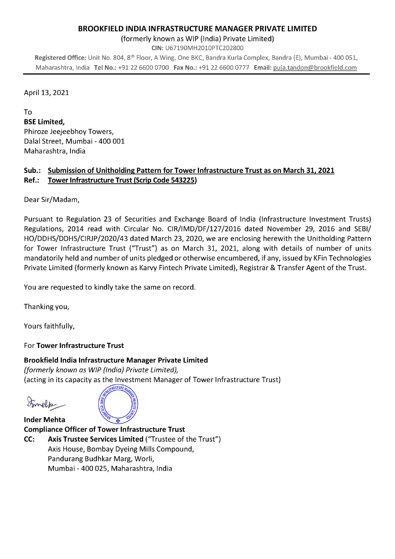### BROOKFIELD INDIA INFRASTRUCTURE MANAGER PRIVATE LIMITED

(formerly known as WIP (India) Private Limited)

CIN: U67190MH2010PTC202800

Registered Office: Unit No. 804, 8th Floor, A Wing, One BKC, Bandra Kuria Complex, Bandra (E), Mumbai - 400 051, Maharashtra, Indial Tel No.: +91 22 6600 0700 Fax No.: +91 22 6600 0777 Email: puja.tandon@brookfield.com

#### April 13, 2021

To

BSE Limited, Phiroze Jeejeebhoy Towers, Dalai Street, Mumbai - 400 001 Maharashtra, India

#### Sub.: Submission of Unitholding Pattern for Tower Infrastructure Trust as on March 31, 2021 Ref.: Tower Infrastructure Trust (Scrip Code 543225)

Dear Sir/Madam,

Pursuant to Regulation 23 of Securities and Exchange Board of India (Infrastructure Investment Trusts) Regulations, 2014 read with Circular No. CIR/IMD/DF/127/2016 dated November 29, 2016 and SEBI/ HO/DDHS/DDHS/CIRJP/2020/43 dated March 23, 2020, we are enclosing herewith the Unitholding Pattern for Tower Infrastructure Trust ("Trust") as on March 31, 2021, along with details of number of units mandatorily held and number of units pledged or otherwise encumbered, if any, issued by KFin Technologies Private Limited (formerly known as Karvy Fintech Private Limited), Registrar & Transfer Agent of the Trust.

You are requested to kindly take the same on record.

Thanking you,

Yours faithfully,

# For Tower Infrastructure Trust

# Brookfield India Infrastructure Manager Private Limited

(formerly known as WIP (India) Private Limited), (acting in its capacity as the Investment Manager of Tower Infrastructure Trust)

Smeltz



**Inder Mehta** Compliance Officer of Tower Infrastructure Trust CC: Axis Trustee Services Limited ("Trustee of the Trust") Axis House, Bombay Dyeing Mills Compound, Pandurang Budhkar Marg, Worli, Mumbai - 400 025, Maharashtra, India